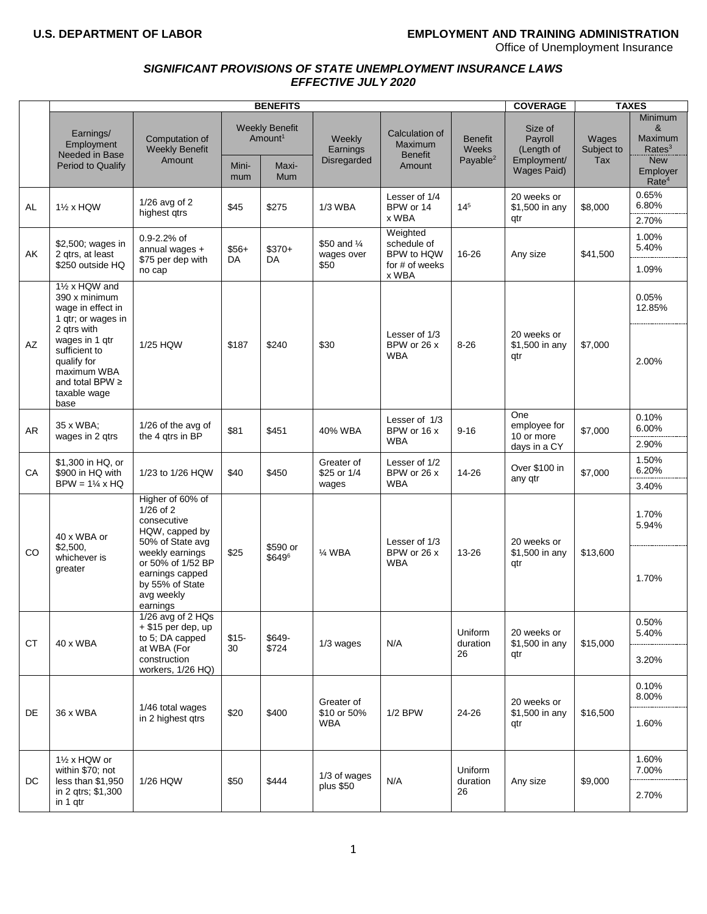# **U.S. DEPARTMENT OF LABOR EMPLOYMENT AND TRAINING ADMINISTRATION**

Office of Unemployment Insurance

## *SIGNIFICANT PROVISIONS OF STATE UNEMPLOYMENT INSURANCE LAWS EFFECTIVE JULY 2020*

|           |                                                                                                                                                                                                            |                                                                                                                                                                                  | <b>COVERAGE</b> |                                              | <b>TAXES</b>                            |                                                                  |                                                        |                                                                       |                            |                                                             |
|-----------|------------------------------------------------------------------------------------------------------------------------------------------------------------------------------------------------------------|----------------------------------------------------------------------------------------------------------------------------------------------------------------------------------|-----------------|----------------------------------------------|-----------------------------------------|------------------------------------------------------------------|--------------------------------------------------------|-----------------------------------------------------------------------|----------------------------|-------------------------------------------------------------|
|           | Earnings/<br>Employment<br>Needed in Base                                                                                                                                                                  | Computation of<br><b>Weekly Benefit</b><br>Amount                                                                                                                                |                 | <b>Weekly Benefit</b><br>Amount <sup>1</sup> | Weekly<br>Earnings<br>Disregarded       | Calculation of<br>Maximum<br><b>Benefit</b><br>Amount            | <b>Benefit</b><br><b>Weeks</b><br>Payable <sup>2</sup> | Size of<br>Payroll<br>(Length of<br>Employment/<br><b>Wages Paid)</b> | Wages<br>Subject to<br>Tax | Minimum<br>&<br>Maximum<br>Rates <sup>3</sup><br><b>New</b> |
|           | <b>Period to Qualify</b>                                                                                                                                                                                   |                                                                                                                                                                                  | Mini-<br>mum    | Maxi-<br>Mum                                 |                                         |                                                                  |                                                        |                                                                       |                            | Employer<br>Rate <sup>4</sup>                               |
| AL        | 1 <sup>/2</sup> x HQW                                                                                                                                                                                      | $1/26$ avg of 2<br>highest gtrs                                                                                                                                                  | \$45            | \$275                                        | 1/3 WBA                                 | Lesser of 1/4<br>BPW or 14<br>x WBA                              | $14^{5}$                                               | 20 weeks or<br>\$1,500 in any<br>qtr                                  | \$8,000                    | 0.65%<br>6.80%<br>2.70%                                     |
| AK        | \$2,500; wages in<br>2 qtrs, at least<br>\$250 outside HQ                                                                                                                                                  | $0.9 - 2.2%$ of<br>annual wages +<br>\$75 per dep with<br>no cap                                                                                                                 | $$56+$<br>DA    | $$370+$<br>DA                                | \$50 and 1/4<br>wages over<br>\$50      | Weighted<br>schedule of<br>BPW to HQW<br>for # of weeks<br>x WBA | 16-26                                                  | Any size                                                              | \$41,500                   | 1.00%<br>5.40%<br>1.09%                                     |
| AZ        | 11/2 x HQW and<br>390 x minimum<br>wage in effect in<br>1 gtr; or wages in<br>2 qtrs with<br>wages in 1 gtr<br>sufficient to<br>qualify for<br>maximum WBA<br>and total BPW $\geq$<br>taxable wage<br>base | 1/25 HQW                                                                                                                                                                         | \$187           | \$240                                        | \$30                                    | Lesser of 1/3<br>BPW or 26 x<br><b>WBA</b>                       | $8 - 26$                                               | 20 weeks or<br>\$1,500 in any<br>qtr                                  | \$7,000                    | 0.05%<br>12.85%<br>2.00%                                    |
| AR        | 35 x WBA;<br>wages in 2 qtrs                                                                                                                                                                               | 1/26 of the avg of<br>the 4 qtrs in BP                                                                                                                                           | \$81            | \$451                                        | 40% WBA                                 | Lesser of 1/3<br>BPW or 16 x<br><b>WBA</b>                       | $9 - 16$                                               | One<br>employee for<br>10 or more<br>days in a CY                     | \$7,000                    | 0.10%<br>6.00%<br>2.90%                                     |
| CA        | \$1,300 in HQ, or<br>\$900 in HQ with<br>$BPW = 1\frac{1}{4} \times HQ$                                                                                                                                    | 1/23 to 1/26 HQW                                                                                                                                                                 | \$40            | \$450                                        | Greater of<br>\$25 or 1/4<br>wages      | Lesser of 1/2<br>BPW or 26 x<br><b>WBA</b>                       | 14-26                                                  | Over \$100 in<br>any qtr                                              | \$7,000                    | 1.50%<br>6.20%<br>3.40%                                     |
| CO.       | 40 x WBA or<br>\$2,500,<br>whichever is<br>greater                                                                                                                                                         | Higher of 60% of<br>$1/26$ of 2<br>consecutive<br>HQW, capped by<br>50% of State avg<br>weekly earnings<br>or 50% of 1/52 BP<br>earnings capped<br>by 55% of State<br>avg weekly | \$25            | \$590 or<br>\$649 <sup>6</sup>               | 1⁄4 WBA                                 | Lesser of 1/3<br>BPW or 26 x<br><b>WBA</b>                       | 13-26                                                  | 20 weeks or<br>\$1,500 in any<br>qtr                                  | \$13,600                   | 1.70%<br>5.94%<br>1.70%                                     |
| <b>CT</b> | 40 x WBA                                                                                                                                                                                                   | earnings<br>1/26 avg of 2 HQs<br>$+$ \$15 per dep, up<br>to 5; DA capped<br>at WBA (For<br>construction<br>workers, 1/26 HQ)                                                     | $$15-$<br>30    | \$649-<br>\$724                              | 1/3 wages                               | N/A                                                              | Uniform<br>duration<br>26                              | 20 weeks or<br>\$1,500 in any<br>qtr                                  | \$15,000                   | 0.50%<br>5.40%<br>3.20%                                     |
| DE        | 36 x WBA                                                                                                                                                                                                   | 1/46 total wages<br>in 2 highest gtrs                                                                                                                                            | \$20            | \$400                                        | Greater of<br>\$10 or 50%<br><b>WBA</b> | $1/2$ BPW                                                        | 24-26                                                  | 20 weeks or<br>\$1,500 in any<br>qtr                                  | \$16,500                   | 0.10%<br>8.00%<br>1.60%                                     |
| DC        | 11/2 x HQW or<br>within \$70; not<br>less than \$1,950<br>in 2 qtrs; \$1,300<br>in 1 gtr                                                                                                                   | 1/26 HQW                                                                                                                                                                         | \$50            | \$444                                        | 1/3 of wages<br>plus \$50               | N/A                                                              | Uniform<br>duration<br>26                              | Any size                                                              | \$9,000                    | 1.60%<br>7.00%<br>2.70%                                     |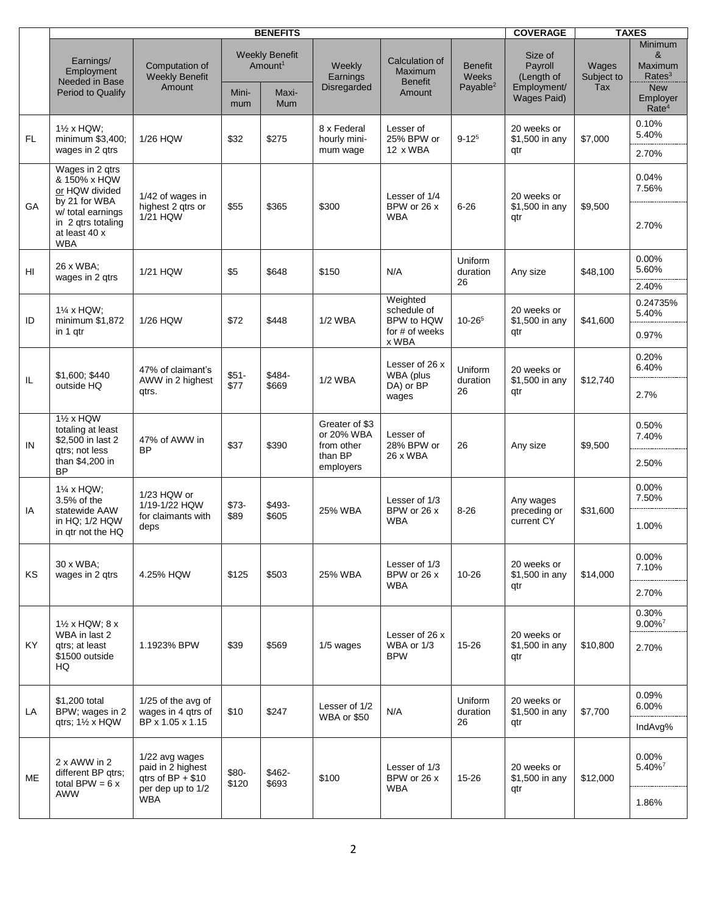|           | <b>BENEFITS</b>                                                                                                                              |                                                                                       |                |                                                                     |                                                                    |                                                                  |                                                        |                                                                       | <b>TAXES</b>                      |                                                                                                     |
|-----------|----------------------------------------------------------------------------------------------------------------------------------------------|---------------------------------------------------------------------------------------|----------------|---------------------------------------------------------------------|--------------------------------------------------------------------|------------------------------------------------------------------|--------------------------------------------------------|-----------------------------------------------------------------------|-----------------------------------|-----------------------------------------------------------------------------------------------------|
|           | Earnings/<br>Employment<br>Needed in Base<br>Period to Qualify                                                                               | Computation of<br><b>Weekly Benefit</b><br>Amount                                     | Mini-<br>mum   | <b>Weekly Benefit</b><br>Amount <sup>1</sup><br>Maxi-<br><b>Mum</b> | Weekly<br>Earnings<br>Disregarded                                  | Calculation of<br>Maximum<br><b>Benefit</b><br>Amount            | <b>Benefit</b><br><b>Weeks</b><br>Payable <sup>2</sup> | Size of<br>Payroll<br>(Length of<br>Employment/<br><b>Wages Paid)</b> | Wages<br>Subject to<br><b>Tax</b> | <b>Minimum</b><br>&<br>Maximum<br>Rates <sup>3</sup><br><b>New</b><br>Employer<br>Rate <sup>4</sup> |
| <b>FL</b> | 1 <sup>/2</sup> x HQW;<br>minimum \$3,400;<br>wages in 2 gtrs                                                                                | 1/26 HQW                                                                              | \$32           | \$275                                                               | 8 x Federal<br>hourly mini-<br>mum wage                            | Lesser of<br>25% BPW or<br>12 x WBA                              | $9 - 12^{5}$                                           | 20 weeks or<br>\$1,500 in any<br>qtr                                  | \$7,000                           | 0.10%<br>5.40%<br>2.70%                                                                             |
| <b>GA</b> | Wages in 2 qtrs<br>& 150% x HQW<br>or HQW divided<br>by 21 for WBA<br>w/ total earnings<br>in 2 qtrs totaling<br>at least 40 x<br><b>WBA</b> | 1/42 of wages in<br>highest 2 qtrs or<br>1/21 HQW                                     | \$55           | \$365                                                               | \$300                                                              | Lesser of 1/4<br>BPW or 26 x<br><b>WBA</b>                       | $6 - 26$                                               | 20 weeks or<br>\$1,500 in any<br>qtr                                  | \$9,500                           | 0.04%<br>7.56%<br>2.70%                                                                             |
| HI        | 26 x WBA;<br>wages in 2 gtrs                                                                                                                 | 1/21 HQW                                                                              | \$5            | \$648                                                               | \$150                                                              | N/A                                                              | Uniform<br>duration<br>26                              | Any size                                                              | \$48,100                          | 0.00%<br>5.60%<br>2.40%                                                                             |
| ID        | $1\%$ x HQW;<br>minimum \$1,872<br>in 1 gtr                                                                                                  | 1/26 HQW                                                                              | \$72           | \$448                                                               | <b>1/2 WBA</b>                                                     | Weighted<br>schedule of<br>BPW to HQW<br>for # of weeks<br>x WBA | $10 - 26^{5}$                                          | 20 weeks or<br>\$1,500 in any<br>atr                                  | \$41,600                          | 0.24735%<br>5.40%<br>0.97%                                                                          |
| IL        | \$1,600; \$440<br>outside HQ                                                                                                                 | 47% of claimant's<br>AWW in 2 highest<br>qtrs.                                        | $$51-$<br>\$77 | \$484-<br>\$669                                                     | <b>1/2 WBA</b>                                                     | Lesser of 26 x<br>WBA (plus<br>DA) or BP<br>wages                | Uniform<br>duration<br>26                              | 20 weeks or<br>\$1,500 in any<br>qtr                                  | \$12,740                          | 0.20%<br>6.40%<br>2.7%                                                                              |
| IN        | 11/2 x HQW<br>totaling at least<br>\$2,500 in last 2<br>gtrs; not less<br>than \$4,200 in<br><b>BP</b>                                       | 47% of AWW in<br><b>BP</b>                                                            | \$37           | \$390                                                               | Greater of \$3<br>or 20% WBA<br>from other<br>than BP<br>employers | Lesser of<br>28% BPW or<br>26 x WBA                              | 26                                                     | Any size                                                              | \$9,500                           | 0.50%<br>7.40%<br>2.50%                                                                             |
| IA        | 1% x HQW;<br>3.5% of the<br>statewide AAW<br>in HQ; 1/2 HQW<br>in gtr not the HQ                                                             | 1/23 HQW or<br>1/19-1/22 HQW<br>for claimants with<br>deps                            | $$73-$<br>\$89 | \$493-<br>\$605                                                     | 25% WBA                                                            | Lesser of 1/3<br>BPW or 26 x<br><b>WBA</b>                       | $8 - 26$                                               | Any wages<br>preceding or<br>current CY                               | \$31,600                          | 0.00%<br>7.50%<br>1.00%                                                                             |
| ΚS        | 30 x WBA;<br>wages in 2 gtrs                                                                                                                 | 4.25% HQW                                                                             | \$125          | \$503                                                               | 25% WBA                                                            | Lesser of 1/3<br>BPW or 26 x<br><b>WBA</b>                       | $10 - 26$                                              | 20 weeks or<br>\$1,500 in any<br>atr                                  | \$14,000                          | 0.00%<br>7.10%<br>2.70%                                                                             |
| KY        | 1½ x HQW; 8 x<br>WBA in last 2<br>gtrs; at least<br>\$1500 outside<br>HQ                                                                     | 1.1923% BPW                                                                           | \$39           | \$569                                                               | 1/5 wages                                                          | Lesser of 26 x<br>WBA or 1/3<br><b>BPW</b>                       | 15-26                                                  | 20 weeks or<br>\$1,500 in any<br>atr                                  | \$10,800                          | 0.30%<br>$9.00\%$ <sup>7</sup><br>2.70%                                                             |
| LA        | \$1,200 total<br>BPW; wages in 2<br>gtrs; $1\frac{1}{2}$ x HQW                                                                               | 1/25 of the avg of<br>wages in 4 qtrs of<br>BP x 1.05 x 1.15                          | \$10           | \$247                                                               | Lesser of 1/2<br>WBA or \$50                                       | N/A                                                              | Uniform<br>duration<br>26                              | 20 weeks or<br>\$1,500 in any<br>atr                                  | \$7,700                           | 0.09%<br>6.00%<br>IndAvg%                                                                           |
| <b>ME</b> | 2 x AWW in 2<br>different BP qtrs;<br>total BPW = $6x$<br>AWW                                                                                | 1/22 avg wages<br>paid in 2 highest<br>qtrs of $BP + $10$<br>per dep up to 1/2<br>WBA | \$80-<br>\$120 | \$462-<br>\$693                                                     | \$100                                                              | Lesser of 1/3<br>BPW or 26 x<br><b>WBA</b>                       | 15-26                                                  | 20 weeks or<br>\$1,500 in any<br>qtr                                  | \$12,000                          | $0.00\%$<br>$5.40\%$ <sup>7</sup><br>1.86%                                                          |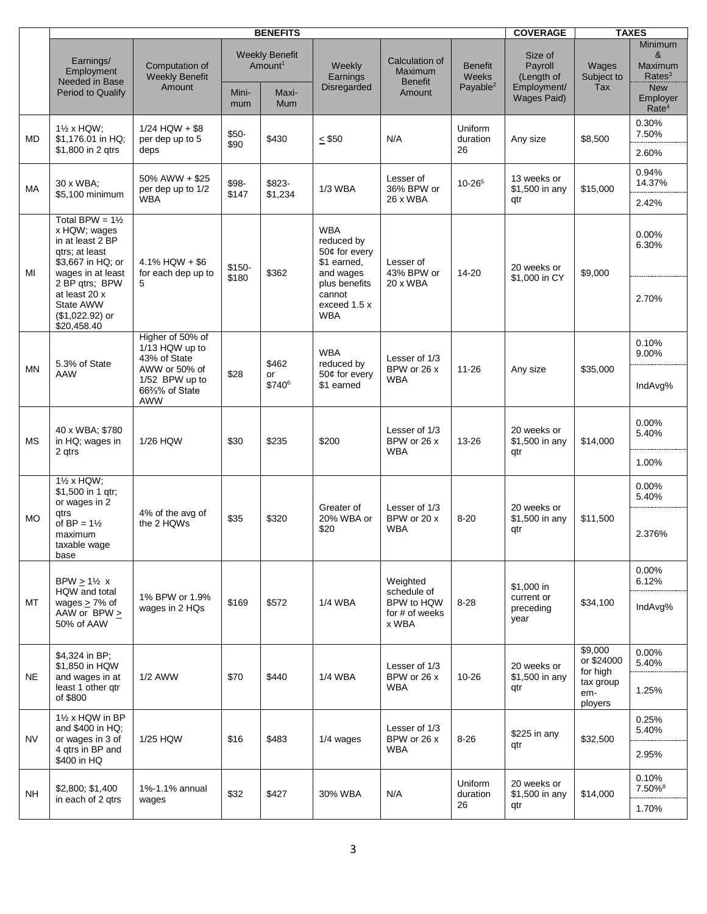|           |                                                                                                                            |                                                                     | <b>COVERAGE</b>  | <b>TAXES</b>                                                 |                                                                       |                                                                          |                                               |                                                                |                                   |                                                                                                     |                |
|-----------|----------------------------------------------------------------------------------------------------------------------------|---------------------------------------------------------------------|------------------|--------------------------------------------------------------|-----------------------------------------------------------------------|--------------------------------------------------------------------------|-----------------------------------------------|----------------------------------------------------------------|-----------------------------------|-----------------------------------------------------------------------------------------------------|----------------|
|           | Earnings/<br>Employment<br>Needed in Base<br>Period to Qualify                                                             | Computation of<br><b>Weekly Benefit</b><br>Amount                   | Mini-<br>mum     | <b>Weekly Benefit</b><br>Amount <sup>1</sup><br>Maxi-<br>Mum | Weekly<br>Earnings<br><b>Disregarded</b>                              | Calculation of<br>Maximum<br><b>Benefit</b><br>Amount                    | <b>Benefit</b><br><b>Weeks</b><br>Payable $2$ | Size of<br>Payroll<br>(Length of<br>Employment/<br>Wages Paid) | Wages<br>Subject to<br>Tax        | Minimum<br>&<br><b>Maximum</b><br>Rates <sup>3</sup><br><b>New</b><br>Employer<br>Rate <sup>4</sup> |                |
| <b>MD</b> | $1\frac{1}{2}$ x HQW;<br>\$1,176.01 in HQ;<br>\$1,800 in 2 gtrs                                                            | $1/24$ HQW + \$8<br>per dep up to 5<br>deps                         | $$50-$<br>\$90   | \$430                                                        | $≤$ \$50                                                              | N/A                                                                      | Uniform<br>duration<br>26                     | Any size                                                       | \$8,500                           | 0.30%<br>7.50%<br>2.60%                                                                             |                |
| МA        | 30 x WBA;<br>\$5,100 minimum                                                                                               | 50% AWW + \$25<br>per dep up to 1/2<br><b>WBA</b>                   | \$98-<br>\$147   | \$823-<br>\$1,234                                            | <b>1/3 WBA</b>                                                        | Lesser of<br>36% BPW or<br>26 x WBA                                      | $10 - 26^{5}$                                 | 13 weeks or<br>\$1,500 in any<br>qtr                           | \$15,000                          | 0.94%<br>14.37%<br>2.42%                                                                            |                |
| MI        | Total BPW = $1\frac{1}{2}$<br>x HQW; wages<br>in at least 2 BP<br>atrs: at least<br>\$3,667 in HQ; or<br>wages in at least | $4.1\%$ HQW + \$6<br>for each dep up to                             | $$150-$<br>\$180 | \$362                                                        | <b>WBA</b><br>reduced by<br>50¢ for every<br>\$1 earned,<br>and wages | Lesser of<br>43% BPW or                                                  | 14-20                                         | 20 weeks or<br>\$1,000 in CY                                   | \$9,000                           | 0.00%<br>6.30%                                                                                      |                |
|           | 2 BP qtrs; BPW<br>at least 20 x<br>State AWW<br>$($1,022.92)$ or<br>\$20,458.40                                            | 5                                                                   |                  |                                                              | plus benefits<br>cannot<br>exceed 1.5 x<br><b>WBA</b>                 | 20 x WBA                                                                 |                                               |                                                                |                                   | 2.70%                                                                                               |                |
| <b>MN</b> | 5.3% of State<br>AAW                                                                                                       | Higher of 50% of<br>1/13 HQW up to<br>43% of State<br>AWW or 50% of |                  | \$28                                                         | \$462<br>or                                                           | <b>WBA</b><br>reduced by<br>50¢ for every                                | Lesser of 1/3<br>BPW or 26 x                  | $11 - 26$                                                      | Any size                          | \$35,000                                                                                            | 0.10%<br>9.00% |
|           |                                                                                                                            | 1/52 BPW up to<br>66%% of State<br><b>AWW</b>                       |                  | \$740 <sup>6</sup>                                           | \$1 earned                                                            | <b>WBA</b>                                                               |                                               |                                                                |                                   | IndAvg%                                                                                             |                |
| MS        | 40 x WBA; \$780<br>in HQ; wages in<br>2 qtrs                                                                               | 1/26 HQW                                                            | \$30             | \$235                                                        | \$200                                                                 | Lesser of 1/3<br>BPW or 26 x<br><b>WBA</b>                               | 13-26                                         | 20 weeks or<br>\$1,500 in any<br>qtr                           | \$14,000                          | 0.00%<br>5.40%<br>1.00%                                                                             |                |
|           | $1\frac{1}{2}$ x HQW;<br>\$1,500 in 1 qtr;                                                                                 |                                                                     |                  |                                                              |                                                                       |                                                                          |                                               |                                                                |                                   | $0.00\%$<br>5.40%                                                                                   |                |
| <b>MO</b> | or wages in 2<br>qtrs<br>of $BP = 1\frac{1}{2}$<br>maximum<br>taxable wage<br>base                                         | 4% of the avg of<br>the 2 HQWs                                      | \$35             | \$320                                                        | Greater of<br>20% WBA or<br>\$20                                      | Lesser of 1/3<br>BPW or 20 x<br><b>WBA</b>                               | $8 - 20$                                      | 20 weeks or<br>\$1,500 in any<br>qtr                           | \$11,500                          | 2.376%                                                                                              |                |
|           | BPW $\geq$ 1½ x<br>HQW and total<br>wages $\geq$ 7% of<br>AAW or BPW $\geq$<br>50% of AAW                                  | 1% BPW or 1.9%<br>wages in 2 HQs                                    |                  | \$572                                                        | <b>1/4 WBA</b>                                                        | Weighted<br>schedule of<br>BPW to HQW<br>8-28<br>for # of weeks<br>x WBA |                                               | \$1,000 in<br>current or<br>preceding<br>year                  | \$34,100                          | 0.00%<br>6.12%                                                                                      |                |
| МT        |                                                                                                                            |                                                                     | \$169            |                                                              |                                                                       |                                                                          |                                               |                                                                |                                   | IndAvg%                                                                                             |                |
| <b>NE</b> | \$4,324 in BP;<br>\$1,850 in HQW                                                                                           |                                                                     |                  |                                                              |                                                                       | Lesser of 1/3<br>BPW or 26 x                                             | $10 - 26$                                     | 20 weeks or                                                    | \$9,000<br>or \$24000<br>for high | 0.00%<br>5.40%                                                                                      |                |
|           | and wages in at<br>least 1 other qtr<br>of \$800                                                                           | 1/2 AWW                                                             | \$70             | \$440                                                        | <b>1/4 WBA</b>                                                        | <b>WBA</b>                                                               |                                               | \$1,500 in any<br>qtr                                          | tax group<br>em-<br>ployers       | 1.25%                                                                                               |                |
| <b>NV</b> | $1\frac{1}{2}$ x HQW in BP<br>and \$400 in HQ;<br>or wages in 3 of                                                         | 1/25 HQW                                                            | \$16             | \$483                                                        | 1/4 wages                                                             | Lesser of 1/3<br>BPW or 26 x                                             | 8-26                                          | \$225 in any<br>qtr                                            | \$32,500                          | 0.25%<br>5.40%                                                                                      |                |
|           | 4 qtrs in BP and<br>\$400 in HQ                                                                                            |                                                                     |                  |                                                              |                                                                       | <b>WBA</b>                                                               |                                               |                                                                |                                   | 2.95%                                                                                               |                |
| NH.       | \$2,800, \$1,400<br>in each of 2 gtrs                                                                                      | 1%-1.1% annual<br>wages                                             | \$32             | \$427                                                        | 30% WBA                                                               | N/A                                                                      | Uniform<br>duration<br>26                     | 20 weeks or<br>\$1,500 in any<br>qtr                           | \$14,000                          | 0.10%<br>7.50%8<br>1.70%                                                                            |                |
|           |                                                                                                                            |                                                                     |                  |                                                              |                                                                       |                                                                          |                                               |                                                                |                                   |                                                                                                     |                |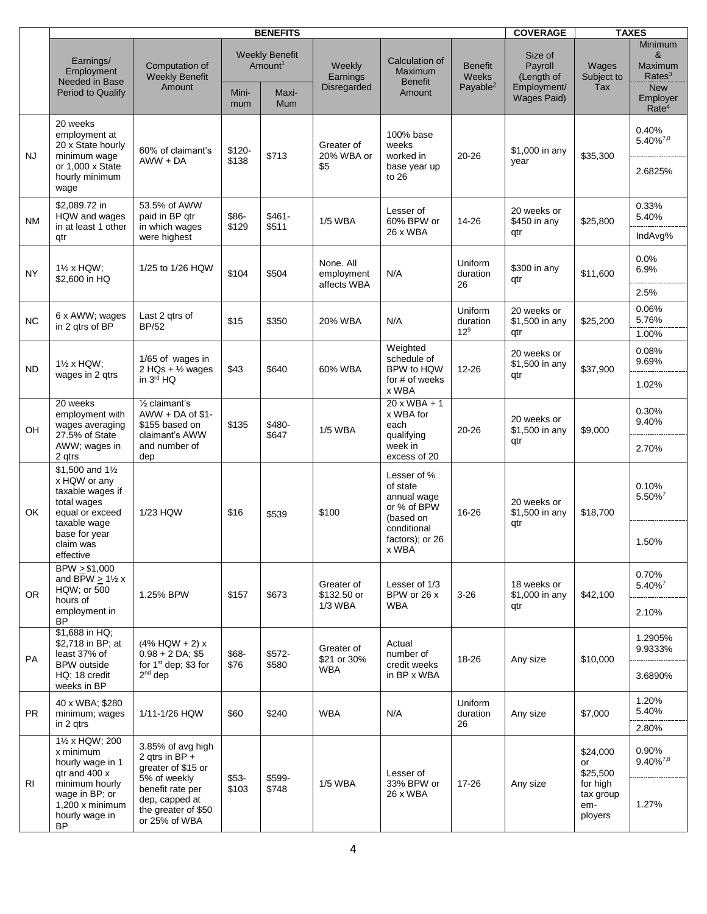| <b>BENEFITS</b>                                                                                                                             |                                                                                                                                                           |                 |                  |                                                                |                                                                     |                                                       | <b>COVERAGE</b>                                 | <b>TAXES</b>                                                          |                                                                    |
|---------------------------------------------------------------------------------------------------------------------------------------------|-----------------------------------------------------------------------------------------------------------------------------------------------------------|-----------------|------------------|----------------------------------------------------------------|---------------------------------------------------------------------|-------------------------------------------------------|-------------------------------------------------|-----------------------------------------------------------------------|--------------------------------------------------------------------|
| Earnings/<br>Employment<br>Needed in Base                                                                                                   | Computation of<br><b>Weekly Benefit</b><br>Amount                                                                                                         |                 |                  | <b>Weekly</b><br>Earnings<br>Disregarded                       | Calculation of<br>Maximum<br><b>Benefit</b>                         | <b>Benefit</b><br>Weeks<br>Payable <sup>2</sup>       | Size of<br>Payroll<br>(Length of<br>Employment/ | Wages<br>Subject to<br>Tax                                            | <b>Minimum</b><br>&<br>Maximum<br>Rates <sup>3</sup><br><b>New</b> |
|                                                                                                                                             |                                                                                                                                                           | mum             | Mum              |                                                                |                                                                     |                                                       |                                                 |                                                                       | Employer<br>Rate <sup>4</sup>                                      |
| 20 weeks<br>employment at<br>20 x State hourly<br>minimum wage<br>or 1,000 x State<br>hourly minimum<br>wage                                | 60% of claimant's<br>$AWW + DA$                                                                                                                           | \$120-<br>\$138 | \$713            | Greater of<br>20% WBA or<br>\$5                                | 100% base<br>weeks<br>worked in<br>base year up<br>to 26            | 20-26                                                 | \$1,000 in any<br>year                          | \$35,300                                                              | 0.40%<br>$5.40\%^{7,8}$<br>2.6825%                                 |
| \$2,089.72 in<br>HQW and wages<br>in at least 1 other<br>qtr                                                                                | 53.5% of AWW<br>paid in BP qtr<br>in which wages<br>were highest                                                                                          | \$86-<br>\$129  | $$461-$<br>\$511 | <b>1/5 WBA</b>                                                 | Lesser of<br>60% BPW or<br>26 x WBA                                 | 14-26                                                 | 20 weeks or<br>\$450 in any<br>qtr              | \$25,800                                                              | 0.33%<br>5.40%<br>IndAvg%                                          |
| 1 <sup>/2</sup> x HQW;<br>\$2,600 in HQ                                                                                                     | 1/25 to 1/26 HQW                                                                                                                                          | \$104           | \$504            | None, All<br>employment<br>affects WBA                         | N/A                                                                 | Uniform<br>duration<br>26                             | \$300 in any<br>qtr                             | \$11,600                                                              | 0.0%<br>6.9%<br>2.5%                                               |
| 6 x AWW; wages<br>in 2 qtrs of BP                                                                                                           | Last 2 gtrs of<br><b>BP/52</b>                                                                                                                            | \$15            | \$350            | 20% WBA                                                        | N/A                                                                 | Uniform<br>duration<br>12 <sup>9</sup>                | 20 weeks or<br>\$1,500 in any<br>qtr            | \$25,200                                                              | 0.06%<br>5.76%<br>1.00%                                            |
| $1\frac{1}{2}$ x HQW;<br>wages in 2 gtrs                                                                                                    | 1/65 of wages in<br>2 HQs + $\frac{1}{2}$ wages<br>in 3rd HQ                                                                                              | \$43            | \$640            | 60% WBA                                                        | Weighted<br>schedule of<br>BPW to HQW<br>for # of weeks             | 12-26                                                 | 20 weeks or<br>\$1,500 in any<br>qtr            | \$37,900                                                              | 0.08%<br>9.69%<br>1.02%                                            |
| 20 weeks<br>employment with<br>wages averaging<br>27.5% of State<br>AWW; wages in                                                           | $\frac{1}{2}$ claimant's<br>$AWW + DA$ of \$1-<br>\$155 based on<br>claimant's AWW<br>and number of                                                       | \$135           | \$480-<br>\$647  | <b>1/5 WBA</b>                                                 | x WBA<br>$20xWBA + 1$<br>x WBA for<br>each<br>qualifying<br>week in | 20-26                                                 | 20 weeks or<br>\$1,500 in any<br>qtr            | \$9,000                                                               | 0.30%<br>9.40%<br>2.70%                                            |
| \$1,500 and 11/2<br>x HQW or any<br>taxable wages if<br>total wages<br>equal or exceed                                                      | 1/23 HQW                                                                                                                                                  | \$16            | \$539            | \$100                                                          | Lesser of %<br>of state<br>annual wage<br>or % of BPW<br>(based on  | 16-26                                                 | 20 weeks or<br>\$1,500 in any                   | \$18,700                                                              | 0.10%<br>5.50%7                                                    |
| base for year<br>claim was<br>effective                                                                                                     |                                                                                                                                                           |                 |                  |                                                                | factors); or 26<br>x WBA                                            |                                                       |                                                 |                                                                       | 1.50%                                                              |
| BPW > \$1,000<br>and BPW $\geq$ 1½ x<br>HQW; or 500<br>hours of<br>employment in<br><b>BP</b>                                               | 1.25% BPW                                                                                                                                                 | \$157           | \$673            | Greater of<br>\$132.50 or                                      | Lesser of 1/3<br>BPW or 26 x<br><b>WBA</b>                          | $3 - 26$                                              | 18 weeks or<br>\$1,000 in any<br>qtr            | \$42,100                                                              | 0.70%<br>5.40% <sup>7</sup>                                        |
|                                                                                                                                             |                                                                                                                                                           |                 |                  |                                                                |                                                                     |                                                       |                                                 |                                                                       | 2.10%                                                              |
| \$2,718 in BP; at<br>least 37% of                                                                                                           | $(4\%$ HQW + 2) x<br>$0.98 + 2 DA$ ; \$5<br>for 1 <sup>st</sup> dep; \$3 for<br>$2nd$ dep                                                                 | \$68-           | \$572-           | Greater of<br>\$21 or 30%<br>WBA                               | Actual<br>number of                                                 | 18-26                                                 | Any size                                        | \$10,000                                                              | 1.2905%<br>9.9333%                                                 |
| HQ; 18 credit<br>weeks in BP                                                                                                                |                                                                                                                                                           |                 |                  |                                                                | in BP x WBA                                                         |                                                       |                                                 |                                                                       | 3.6890%                                                            |
| 40 x WBA; \$280<br>minimum; wages<br>in 2 qtrs                                                                                              | 1/11-1/26 HQW                                                                                                                                             | \$60            | \$240            | <b>WBA</b>                                                     | N/A                                                                 | Uniform<br>duration<br>26                             | Any size                                        | \$7,000                                                               | 1.20%<br>5.40%<br>2.80%                                            |
| 11/2 x HQW; 200<br>x minimum<br>hourly wage in 1<br>qtr and 400 x<br>minimum hourly<br>wage in BP; or<br>$1,200x$ minimum<br>hourly wage in | 3.85% of avg high<br>2 qtrs in BP $+$<br>greater of \$15 or<br>5% of weekly<br>benefit rate per<br>dep, capped at<br>the greater of \$50<br>or 25% of WBA | $$53-$<br>\$103 | \$599-<br>\$748  | <b>1/5 WBA</b>                                                 | Lesser of<br>33% BPW or<br>26 x WBA                                 | 17-26                                                 | Any size                                        | \$24,000<br>or<br>\$25,500<br>for high<br>tax group<br>em-<br>ployers | 0.90%<br>$9.40\%^{7,8}$<br>1.27%                                   |
|                                                                                                                                             | Period to Qualify<br>2 qtrs<br>taxable wage<br>\$1,688 in HQ;<br><b>BPW</b> outside<br><b>BP</b>                                                          | dep             | Mini-<br>\$76    | <b>Weekly Benefit</b><br>Amount <sup>1</sup><br>Maxi-<br>\$580 | 1/3 WBA                                                             | Amount<br>excess of 20<br>conditional<br>credit weeks |                                                 | <b>Wages Paid)</b><br>qtr                                             |                                                                    |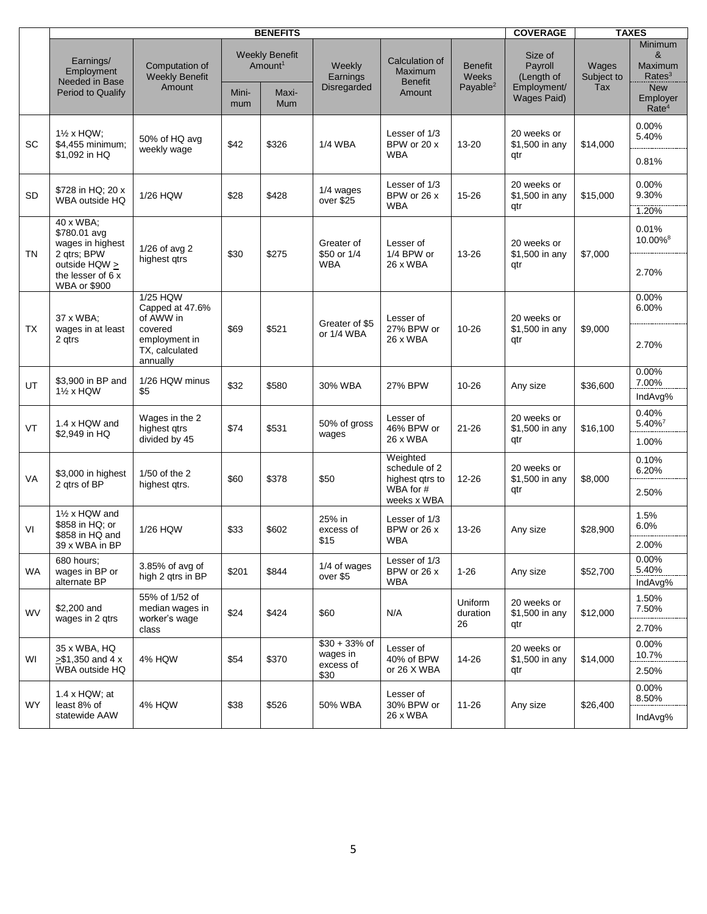|           |                                                                                                                    |                                                                                                    | <b>COVERAGE</b> |                                                                     | <b>TAXES</b>                                    |                                                                          |                                                        |                                                                       |                            |                                                                                              |
|-----------|--------------------------------------------------------------------------------------------------------------------|----------------------------------------------------------------------------------------------------|-----------------|---------------------------------------------------------------------|-------------------------------------------------|--------------------------------------------------------------------------|--------------------------------------------------------|-----------------------------------------------------------------------|----------------------------|----------------------------------------------------------------------------------------------|
|           | Earnings/<br>Employment<br>Needed in Base<br>Period to Qualify                                                     | Computation of<br><b>Weekly Benefit</b><br>Amount                                                  | Mini-<br>mum    | <b>Weekly Benefit</b><br>Amount <sup>1</sup><br>Maxi-<br><b>Mum</b> | Weekly<br>Earnings<br>Disregarded               | Calculation of<br>Maximum<br><b>Benefit</b><br>Amount                    | <b>Benefit</b><br><b>Weeks</b><br>Payable <sup>2</sup> | Size of<br>Payroll<br>(Length of<br>Employment/<br><b>Wages Paid)</b> | Wages<br>Subject to<br>Tax | Minimum<br>&<br>Maximum<br>Rates <sup>3</sup><br><b>New</b><br>Employer<br>Rate <sup>4</sup> |
| <b>SC</b> | 1% x HQW;<br>\$4,455 minimum;<br>\$1,092 in HQ                                                                     | 50% of HQ avg<br>weekly wage                                                                       | \$42            | \$326                                                               | <b>1/4 WBA</b>                                  | Lesser of 1/3<br>BPW or 20 x<br><b>WBA</b>                               | 13-20                                                  | 20 weeks or<br>\$1,500 in any<br>qtr                                  | \$14,000                   | 0.00%<br>5.40%<br>0.81%                                                                      |
| <b>SD</b> | \$728 in HQ; 20 x<br>WBA outside HQ                                                                                | 1/26 HQW                                                                                           | \$28            | \$428                                                               | 1/4 wages<br>over \$25                          | Lesser of 1/3<br>BPW or 26 x<br><b>WBA</b>                               | 15-26                                                  | 20 weeks or<br>\$1,500 in any<br>qtr                                  | \$15,000                   | 0.00%<br>9.30%<br>1.20%                                                                      |
| TN        | 40 x WBA;<br>\$780.01 avg<br>wages in highest<br>2 qtrs; BPW<br>outside HQW ><br>the lesser of 6 x<br>WBA or \$900 | $1/26$ of avg 2<br>highest gtrs                                                                    | \$30            | \$275                                                               | Greater of<br>\$50 or 1/4<br><b>WBA</b>         | Lesser of<br>1/4 BPW or<br>26 x WBA                                      | 13-26                                                  | 20 weeks or<br>\$1,500 in any<br>qtr                                  | \$7,000                    | 0.01%<br>10.00% <sup>8</sup><br>2.70%                                                        |
| TX.       | 37 x WBA;<br>wages in at least<br>2 qtrs                                                                           | 1/25 HQW<br>Capped at 47.6%<br>of AWW in<br>covered<br>employment in<br>TX, calculated<br>annually | \$69            | \$521                                                               | Greater of \$5<br>or 1/4 WBA                    | Lesser of<br>27% BPW or<br>26 x WBA                                      | 10-26                                                  | 20 weeks or<br>\$1,500 in any<br>qtr                                  | \$9,000                    | 0.00%<br>6.00%<br>2.70%                                                                      |
| UT        | \$3,900 in BP and<br>11/2 x HQW                                                                                    | 1/26 HQW minus<br>\$5                                                                              | \$32            | \$580                                                               | 30% WBA                                         | 27% BPW                                                                  | 10-26                                                  | Any size                                                              | \$36,600                   | 0.00%<br>7.00%<br>IndAvg%                                                                    |
| VT        | 1.4 x HQW and<br>\$2,949 in HQ                                                                                     | Wages in the 2<br>highest qtrs<br>divided by 45                                                    | \$74            | \$531                                                               | 50% of gross<br>wages                           | Lesser of<br>46% BPW or<br>26 x WBA                                      | $21 - 26$                                              | 20 weeks or<br>\$1,500 in any<br>qtr                                  | \$16,100                   | 0.40%<br>$5.40\%$ <sup>7</sup><br>1.00%                                                      |
| VA        | \$3,000 in highest<br>2 gtrs of BP                                                                                 | 1/50 of the 2<br>highest qtrs.                                                                     | \$60            | \$378                                                               | \$50                                            | Weighted<br>schedule of 2<br>highest gtrs to<br>WBA for #<br>weeks x WBA | 12-26                                                  | 20 weeks or<br>\$1,500 in any<br>qtr                                  | \$8,000                    | 0.10%<br>6.20%<br>2.50%                                                                      |
| VI        | 11/2 x HQW and<br>\$858 in HQ; or<br>\$858 in HQ and<br>39 x WBA in BP                                             | 1/26 HQW                                                                                           | \$33            | \$602                                                               | 25% in<br>excess of<br>\$15                     | Lesser of 1/3<br>BPW or 26 x<br><b>WBA</b>                               | 13-26                                                  | Any size                                                              | \$28,900                   | 1.5%<br>6.0%<br>2.00%                                                                        |
| <b>WA</b> | 680 hours:<br>wages in BP or<br>alternate BP                                                                       | 3.85% of avg of<br>high 2 gtrs in BP                                                               | \$201           | \$844                                                               | 1/4 of wages<br>over \$5                        | Lesser of 1/3<br>BPW or 26 x<br><b>WBA</b>                               | $1 - 26$                                               | Any size                                                              | \$52,700                   | 0.00%<br>5.40%<br>IndAvg%                                                                    |
| <b>WV</b> | \$2,200 and<br>wages in 2 gtrs                                                                                     | 55% of 1/52 of<br>median wages in<br>worker's wage<br>class                                        | \$24            | \$424                                                               | \$60                                            | N/A                                                                      | Uniform<br>duration<br>26                              | 20 weeks or<br>\$1,500 in any<br>qtr                                  | \$12,000                   | 1.50%<br>7.50%<br>2.70%                                                                      |
| WI        | 35 x WBA, HQ<br>$> $1,350$ and 4 x<br>WBA outside HQ                                                               | <b>4% HQW</b>                                                                                      | \$54            | \$370                                                               | $$30 + 33%$ of<br>wages in<br>excess of<br>\$30 | Lesser of<br>40% of BPW<br>or 26 X WBA                                   | 14-26                                                  | 20 weeks or<br>\$1,500 in any<br>qtr                                  | \$14,000                   | 0.00%<br>10.7%<br>2.50%                                                                      |
| <b>WY</b> | 1.4 x HQW; at<br>least 8% of<br>statewide AAW                                                                      | <b>4% HQW</b>                                                                                      | \$38            | \$526                                                               | 50% WBA                                         | Lesser of<br>30% BPW or<br>26 x WBA                                      | 11-26                                                  | Any size                                                              | \$26,400                   | 0.00%<br>8.50%<br>IndAvg%                                                                    |